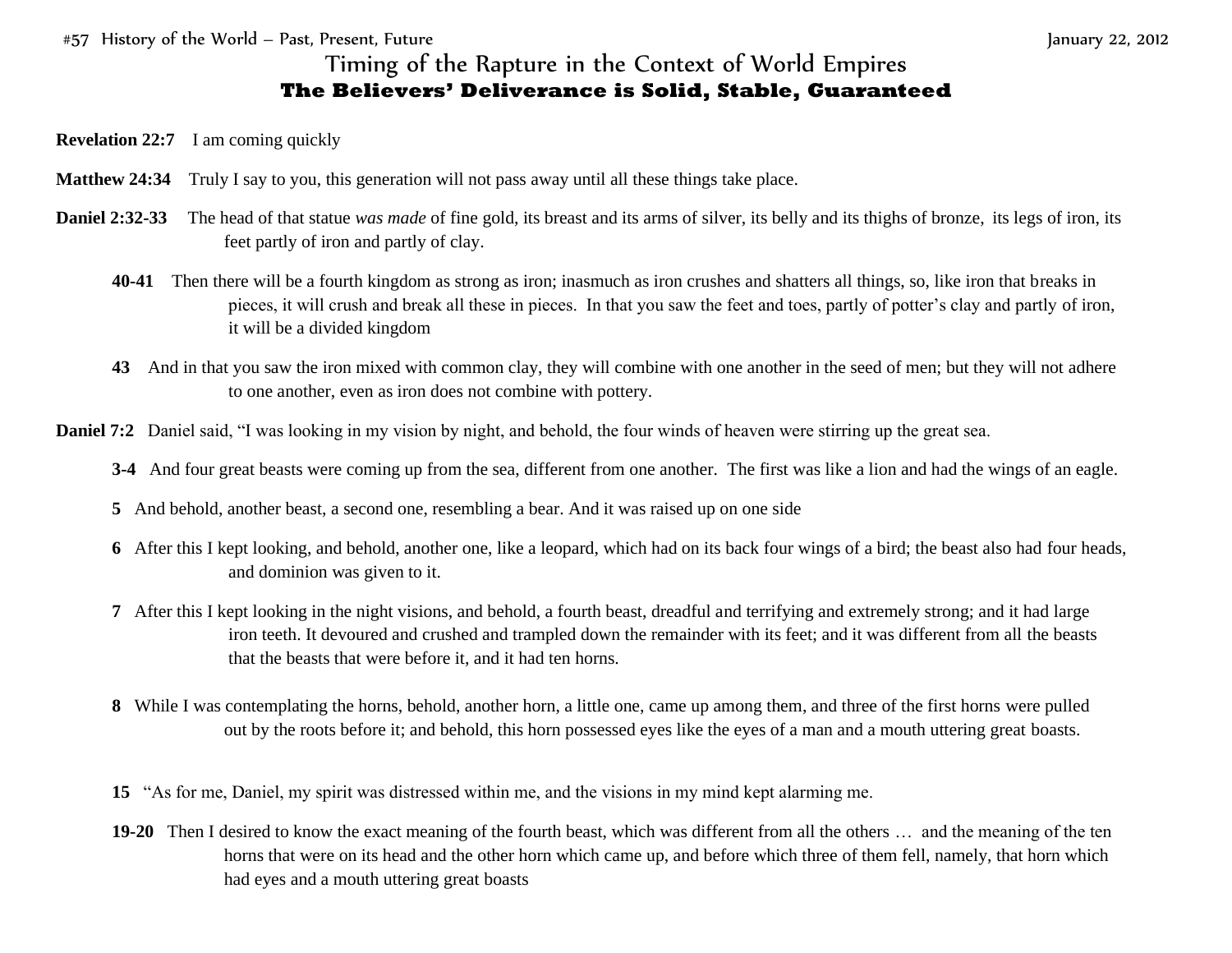#57 History of the World – Past, Present, Future January 22, 2012

## Timing of the Rapture in the Context of World Empires **The Believers' Deliverance is Solid, Stable, Guaranteed**

- **Revelation 22:7** I am coming quickly
- **Matthew 24:34** Truly I say to you, this generation will not pass away until all these things take place.
- **Daniel 2:32-33** The head of that statue *was made* of fine gold, its breast and its arms of silver, its belly and its thighs of bronze, its legs of iron, its feet partly of iron and partly of clay.
	- **40-41** Then there will be a fourth kingdom as strong as iron; inasmuch as iron crushes and shatters all things, so, like iron that breaks in pieces, it will crush and break all these in pieces. In that you saw the feet and toes, partly of potter's clay and partly of iron, it will be a divided kingdom
	- **43** And in that you saw the iron mixed with common clay, they will combine with one another in the seed of men; but they will not adhere to one another, even as iron does not combine with pottery.
- **Daniel 7:2** Daniel said, "I was looking in my vision by night, and behold, the four winds of heaven were stirring up the great sea.
	- **3-4** And four great beasts were coming up from the sea, different from one another. The first was like a lion and had the wings of an eagle.
	- **5** And behold, another beast, a second one, resembling a bear. And it was raised up on one side
	- **6** After this I kept looking, and behold, another one, like a leopard, which had on its back four wings of a bird; the beast also had four heads, and dominion was given to it.
	- **7** After this I kept looking in the night visions, and behold, a fourth beast, dreadful and terrifying and extremely strong; and it had large iron teeth. It devoured and crushed and trampled down the remainder with its feet; and it was different from all the beasts that the beasts that were before it, and it had ten horns.
	- **8** While I was contemplating the horns, behold, another horn, a little one, came up among them, and three of the first horns were pulled out by the roots before it; and behold, this horn possessed eyes like the eyes of a man and a mouth uttering great boasts.
	- **15** "As for me, Daniel, my spirit was distressed within me, and the visions in my mind kept alarming me.
	- **19-20** Then I desired to know the exact meaning of the fourth beast, which was different from all the others … and the meaning of the ten horns that were on its head and the other horn which came up, and before which three of them fell, namely, that horn which had eyes and a mouth uttering great boasts